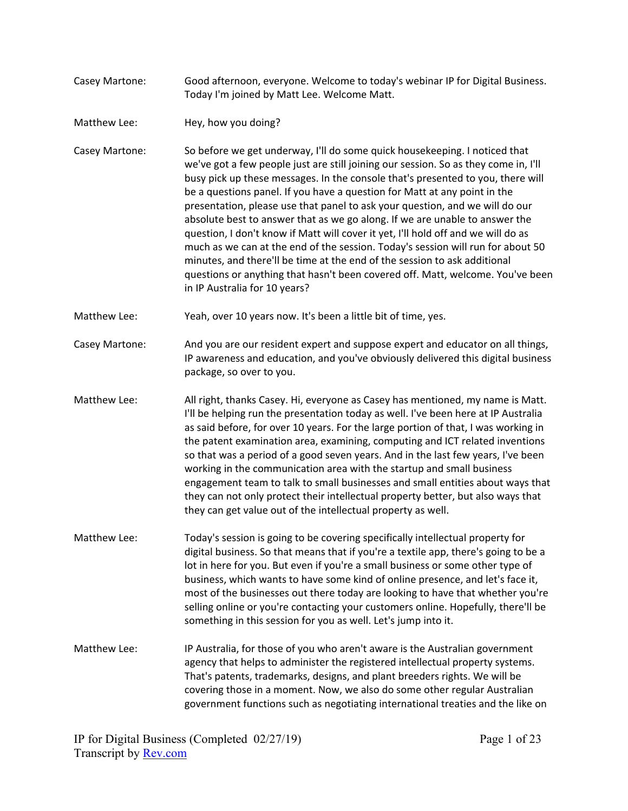- Casey Martone: Good afternoon, everyone. Welcome to today's webinar IP for Digital Business. Today I'm joined by Matt Lee. Welcome Matt.
- Matthew Lee: Hey, how you doing?
- Casey Martone: So before we get underway, I'll do some quick housekeeping. I noticed that we've got a few people just are still joining our session. So as they come in, I'll busy pick up these messages. In the console that's presented to you, there will be a questions panel. If you have a question for Matt at any point in the presentation, please use that panel to ask your question, and we will do our absolute best to answer that as we go along. If we are unable to answer the question, I don't know if Matt will cover it yet, I'll hold off and we will do as much as we can at the end of the session. Today's session will run for about 50 minutes, and there'll be time at the end of the session to ask additional questions or anything that hasn't been covered off. Matt, welcome. You've been in IP Australia for 10 years?
- Matthew Lee: Yeah, over 10 years now. It's been a little bit of time, yes.
- Casey Martone: And you are our resident expert and suppose expert and educator on all things, IP awareness and education, and you've obviously delivered this digital business package, so over to you.
- Matthew Lee: All right, thanks Casey. Hi, everyone as Casey has mentioned, my name is Matt. I'll be helping run the presentation today as well. I've been here at IP Australia as said before, for over 10 years. For the large portion of that, I was working in the patent examination area, examining, computing and ICT related inventions so that was a period of a good seven years. And in the last few years, I've been working in the communication area with the startup and small business engagement team to talk to small businesses and small entities about ways that they can not only protect their intellectual property better, but also ways that they can get value out of the intellectual property as well.
- Matthew Lee: Today's session is going to be covering specifically intellectual property for digital business. So that means that if you're a textile app, there's going to be a lot in here for you. But even if you're a small business or some other type of business, which wants to have some kind of online presence, and let's face it, most of the businesses out there today are looking to have that whether you're selling online or you're contacting your customers online. Hopefully, there'll be something in this session for you as well. Let's jump into it.
- Matthew Lee: IP Australia, for those of you who aren't aware is the Australian government agency that helps to administer the registered intellectual property systems. That's patents, trademarks, designs, and plant breeders rights. We will be covering those in a moment. Now, we also do some other regular Australian government functions such as negotiating international treaties and the like on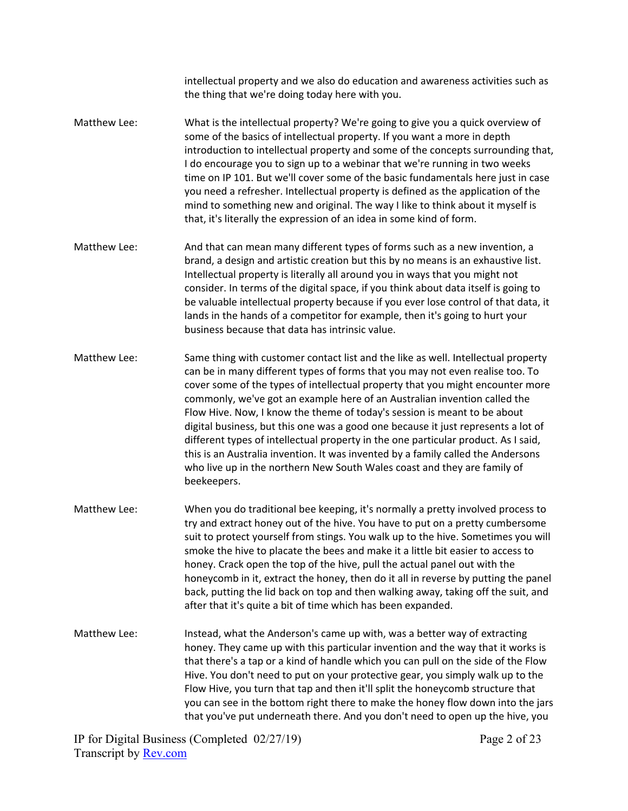intellectual property and we also do education and awareness activities such as the thing that we're doing today here with you.

- Matthew Lee: What is the intellectual property? We're going to give you a quick overview of some of the basics of intellectual property. If you want a more in depth introduction to intellectual property and some of the concepts surrounding that, I do encourage you to sign up to a webinar that we're running in two weeks time on IP 101. But we'll cover some of the basic fundamentals here just in case you need a refresher. Intellectual property is defined as the application of the mind to something new and original. The way I like to think about it myself is that, it's literally the expression of an idea in some kind of form.
- Matthew Lee: And that can mean many different types of forms such as a new invention, a brand, a design and artistic creation but this by no means is an exhaustive list. Intellectual property is literally all around you in ways that you might not consider. In terms of the digital space, if you think about data itself is going to be valuable intellectual property because if you ever lose control of that data, it lands in the hands of a competitor for example, then it's going to hurt your business because that data has intrinsic value.
- Matthew Lee: Same thing with customer contact list and the like as well. Intellectual property can be in many different types of forms that you may not even realise too. To cover some of the types of intellectual property that you might encounter more commonly, we've got an example here of an Australian invention called the Flow Hive. Now, I know the theme of today's session is meant to be about digital business, but this one was a good one because it just represents a lot of different types of intellectual property in the one particular product. As I said, this is an Australia invention. It was invented by a family called the Andersons who live up in the northern New South Wales coast and they are family of beekeepers.
- Matthew Lee: When you do traditional bee keeping, it's normally a pretty involved process to try and extract honey out of the hive. You have to put on a pretty cumbersome suit to protect yourself from stings. You walk up to the hive. Sometimes you will smoke the hive to placate the bees and make it a little bit easier to access to honey. Crack open the top of the hive, pull the actual panel out with the honeycomb in it, extract the honey, then do it all in reverse by putting the panel back, putting the lid back on top and then walking away, taking off the suit, and after that it's quite a bit of time which has been expanded.
- Matthew Lee: Instead, what the Anderson's came up with, was a better way of extracting honey. They came up with this particular invention and the way that it works is that there's a tap or a kind of handle which you can pull on the side of the Flow Hive. You don't need to put on your protective gear, you simply walk up to the Flow Hive, you turn that tap and then it'll split the honeycomb structure that you can see in the bottom right there to make the honey flow down into the jars that you've put underneath there. And you don't need to open up the hive, you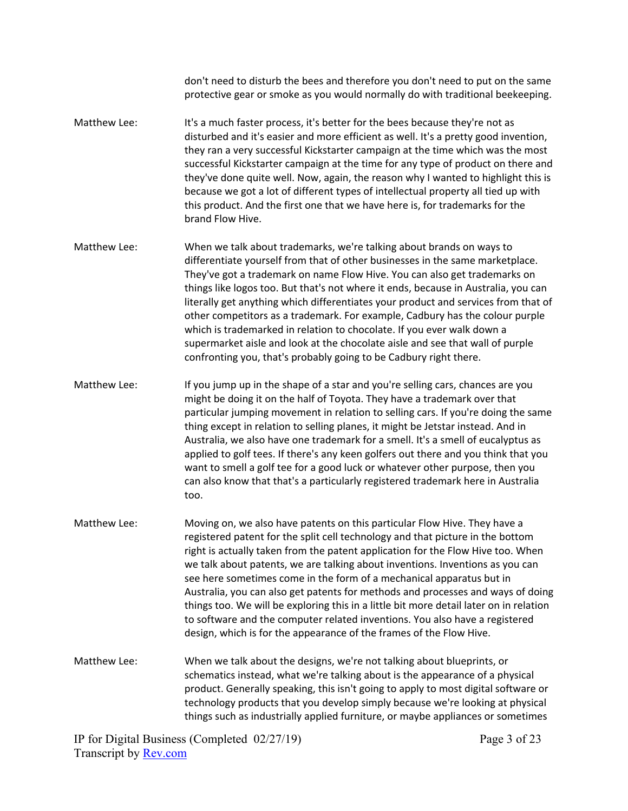don't need to disturb the bees and therefore you don't need to put on the same protective gear or smoke as you would normally do with traditional beekeeping.

- Matthew Lee: It's a much faster process, it's better for the bees because they're not as disturbed and it's easier and more efficient as well. It's a pretty good invention, they ran a very successful Kickstarter campaign at the time which was the most successful Kickstarter campaign at the time for any type of product on there and they've done quite well. Now, again, the reason why I wanted to highlight this is because we got a lot of different types of intellectual property all tied up with this product. And the first one that we have here is, for trademarks for the brand Flow Hive.
- Matthew Lee: When we talk about trademarks, we're talking about brands on ways to differentiate yourself from that of other businesses in the same marketplace. They've got a trademark on name Flow Hive. You can also get trademarks on things like logos too. But that's not where it ends, because in Australia, you can literally get anything which differentiates your product and services from that of other competitors as a trademark. For example, Cadbury has the colour purple which is trademarked in relation to chocolate. If you ever walk down a supermarket aisle and look at the chocolate aisle and see that wall of purple confronting you, that's probably going to be Cadbury right there.
- Matthew Lee: If you jump up in the shape of a star and you're selling cars, chances are you might be doing it on the half of Toyota. They have a trademark over that particular jumping movement in relation to selling cars. If you're doing the same thing except in relation to selling planes, it might be Jetstar instead. And in Australia, we also have one trademark for a smell. It's a smell of eucalyptus as applied to golf tees. If there's any keen golfers out there and you think that you want to smell a golf tee for a good luck or whatever other purpose, then you can also know that that's a particularly registered trademark here in Australia too.
- Matthew Lee: Moving on, we also have patents on this particular Flow Hive. They have a registered patent for the split cell technology and that picture in the bottom right is actually taken from the patent application for the Flow Hive too. When we talk about patents, we are talking about inventions. Inventions as you can see here sometimes come in the form of a mechanical apparatus but in Australia, you can also get patents for methods and processes and ways of doing things too. We will be exploring this in a little bit more detail later on in relation to software and the computer related inventions. You also have a registered design, which is for the appearance of the frames of the Flow Hive.
- Matthew Lee: When we talk about the designs, we're not talking about blueprints, or schematics instead, what we're talking about is the appearance of a physical product. Generally speaking, this isn't going to apply to most digital software or technology products that you develop simply because we're looking at physical things such as industrially applied furniture, or maybe appliances or sometimes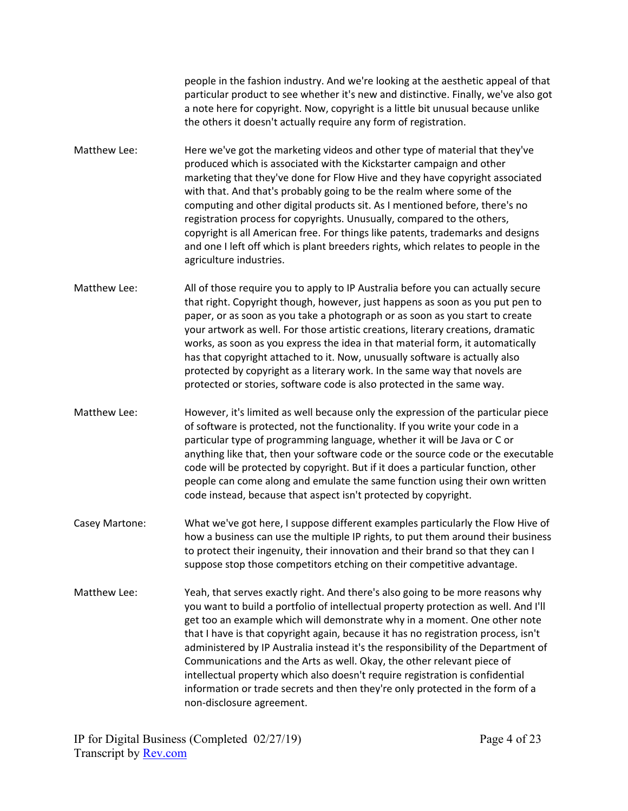people in the fashion industry. And we're looking at the aesthetic appeal of that particular product to see whether it's new and distinctive. Finally, we've also got a note here for copyright. Now, copyright is a little bit unusual because unlike the others it doesn't actually require any form of registration.

- Matthew Lee: Here we've got the marketing videos and other type of material that they've produced which is associated with the Kickstarter campaign and other marketing that they've done for Flow Hive and they have copyright associated with that. And that's probably going to be the realm where some of the computing and other digital products sit. As I mentioned before, there's no registration process for copyrights. Unusually, compared to the others, copyright is all American free. For things like patents, trademarks and designs and one I left off which is plant breeders rights, which relates to people in the agriculture industries.
- Matthew Lee: All of those require you to apply to IP Australia before you can actually secure that right. Copyright though, however, just happens as soon as you put pen to paper, or as soon as you take a photograph or as soon as you start to create your artwork as well. For those artistic creations, literary creations, dramatic works, as soon as you express the idea in that material form, it automatically has that copyright attached to it. Now, unusually software is actually also protected by copyright as a literary work. In the same way that novels are protected or stories, software code is also protected in the same way.
- Matthew Lee: However, it's limited as well because only the expression of the particular piece of software is protected, not the functionality. If you write your code in a particular type of programming language, whether it will be Java or C or anything like that, then your software code or the source code or the executable code will be protected by copyright. But if it does a particular function, other people can come along and emulate the same function using their own written code instead, because that aspect isn't protected by copyright.
- Casey Martone: What we've got here, I suppose different examples particularly the Flow Hive of how a business can use the multiple IP rights, to put them around their business to protect their ingenuity, their innovation and their brand so that they can I suppose stop those competitors etching on their competitive advantage.
- Matthew Lee: Yeah, that serves exactly right. And there's also going to be more reasons why you want to build a portfolio of intellectual property protection as well. And I'll get too an example which will demonstrate why in a moment. One other note that I have is that copyright again, because it has no registration process, isn't administered by IP Australia instead it's the responsibility of the Department of Communications and the Arts as well. Okay, the other relevant piece of intellectual property which also doesn't require registration is confidential information or trade secrets and then they're only protected in the form of a non-disclosure agreement.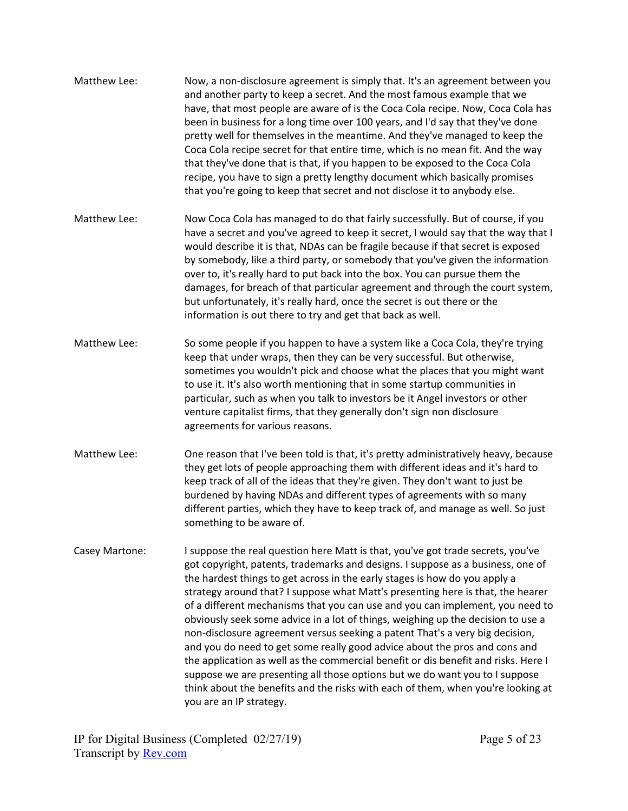| Matthew Lee:   | Now, a non-disclosure agreement is simply that. It's an agreement between you<br>and another party to keep a secret. And the most famous example that we<br>have, that most people are aware of is the Coca Cola recipe. Now, Coca Cola has<br>been in business for a long time over 100 years, and I'd say that they've done<br>pretty well for themselves in the meantime. And they've managed to keep the<br>Coca Cola recipe secret for that entire time, which is no mean fit. And the way<br>that they've done that is that, if you happen to be exposed to the Coca Cola<br>recipe, you have to sign a pretty lengthy document which basically promises<br>that you're going to keep that secret and not disclose it to anybody else.                                                                                                                                                                                                               |
|----------------|------------------------------------------------------------------------------------------------------------------------------------------------------------------------------------------------------------------------------------------------------------------------------------------------------------------------------------------------------------------------------------------------------------------------------------------------------------------------------------------------------------------------------------------------------------------------------------------------------------------------------------------------------------------------------------------------------------------------------------------------------------------------------------------------------------------------------------------------------------------------------------------------------------------------------------------------------------|
| Matthew Lee:   | Now Coca Cola has managed to do that fairly successfully. But of course, if you<br>have a secret and you've agreed to keep it secret, I would say that the way that I<br>would describe it is that, NDAs can be fragile because if that secret is exposed<br>by somebody, like a third party, or somebody that you've given the information<br>over to, it's really hard to put back into the box. You can pursue them the<br>damages, for breach of that particular agreement and through the court system,<br>but unfortunately, it's really hard, once the secret is out there or the<br>information is out there to try and get that back as well.                                                                                                                                                                                                                                                                                                     |
| Matthew Lee:   | So some people if you happen to have a system like a Coca Cola, they're trying<br>keep that under wraps, then they can be very successful. But otherwise,<br>sometimes you wouldn't pick and choose what the places that you might want<br>to use it. It's also worth mentioning that in some startup communities in<br>particular, such as when you talk to investors be it Angel investors or other<br>venture capitalist firms, that they generally don't sign non disclosure<br>agreements for various reasons.                                                                                                                                                                                                                                                                                                                                                                                                                                        |
| Matthew Lee:   | One reason that I've been told is that, it's pretty administratively heavy, because<br>they get lots of people approaching them with different ideas and it's hard to<br>keep track of all of the ideas that they're given. They don't want to just be<br>burdened by having NDAs and different types of agreements with so many<br>different parties, which they have to keep track of, and manage as well. So just<br>something to be aware of.                                                                                                                                                                                                                                                                                                                                                                                                                                                                                                          |
| Casey Martone: | I suppose the real question here Matt is that, you've got trade secrets, you've<br>got copyright, patents, trademarks and designs. I suppose as a business, one of<br>the hardest things to get across in the early stages is how do you apply a<br>strategy around that? I suppose what Matt's presenting here is that, the hearer<br>of a different mechanisms that you can use and you can implement, you need to<br>obviously seek some advice in a lot of things, weighing up the decision to use a<br>non-disclosure agreement versus seeking a patent That's a very big decision,<br>and you do need to get some really good advice about the pros and cons and<br>the application as well as the commercial benefit or dis benefit and risks. Here I<br>suppose we are presenting all those options but we do want you to I suppose<br>think about the benefits and the risks with each of them, when you're looking at<br>you are an IP strategy. |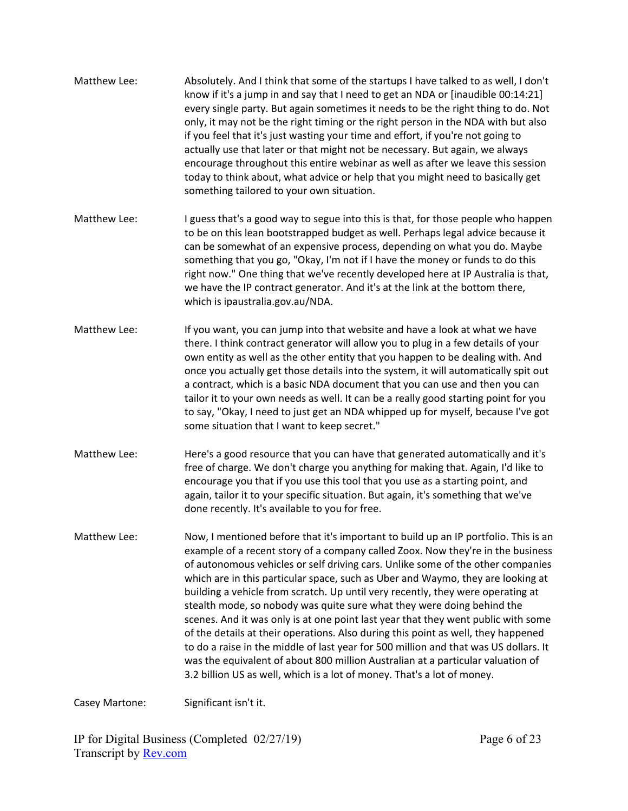Matthew Lee: Absolutely. And I think that some of the startups I have talked to as well, I don't know if it's a jump in and say that I need to get an NDA or [inaudible 00:14:21] every single party. But again sometimes it needs to be the right thing to do. Not only, it may not be the right timing or the right person in the NDA with but also if you feel that it's just wasting your time and effort, if you're not going to actually use that later or that might not be necessary. But again, we always encourage throughout this entire webinar as well as after we leave this session today to think about, what advice or help that you might need to basically get something tailored to your own situation. Matthew Lee: I guess that's a good way to segue into this is that, for those people who happen to be on this lean bootstrapped budget as well. Perhaps legal advice because it can be somewhat of an expensive process, depending on what you do. Maybe something that you go, "Okay, I'm not if I have the money or funds to do this right now." One thing that we've recently developed here at IP Australia is that, we have the IP contract generator. And it's at the link at the bottom there, which is ipaustralia.gov.au/NDA. Matthew Lee: If you want, you can jump into that website and have a look at what we have there. I think contract generator will allow you to plug in a few details of your own entity as well as the other entity that you happen to be dealing with. And once you actually get those details into the system, it will automatically spit out a contract, which is a basic NDA document that you can use and then you can tailor it to your own needs as well. It can be a really good starting point for you to say, "Okay, I need to just get an NDA whipped up for myself, because I've got some situation that I want to keep secret." Matthew Lee: Here's a good resource that you can have that generated automatically and it's free of charge. We don't charge you anything for making that. Again, I'd like to encourage you that if you use this tool that you use as a starting point, and again, tailor it to your specific situation. But again, it's something that we've done recently. It's available to you for free. Matthew Lee: Now, I mentioned before that it's important to build up an IP portfolio. This is an example of a recent story of a company called Zoox. Now they're in the business of autonomous vehicles or self driving cars. Unlike some of the other companies which are in this particular space, such as Uber and Waymo, they are looking at building a vehicle from scratch. Up until very recently, they were operating at stealth mode, so nobody was quite sure what they were doing behind the scenes. And it was only is at one point last year that they went public with some of the details at their operations. Also during this point as well, they happened to do a raise in the middle of last year for 500 million and that was US dollars. It was the equivalent of about 800 million Australian at a particular valuation of 3.2 billion US as well, which is a lot of money. That's a lot of money.

Casey Martone: Significant isn't it.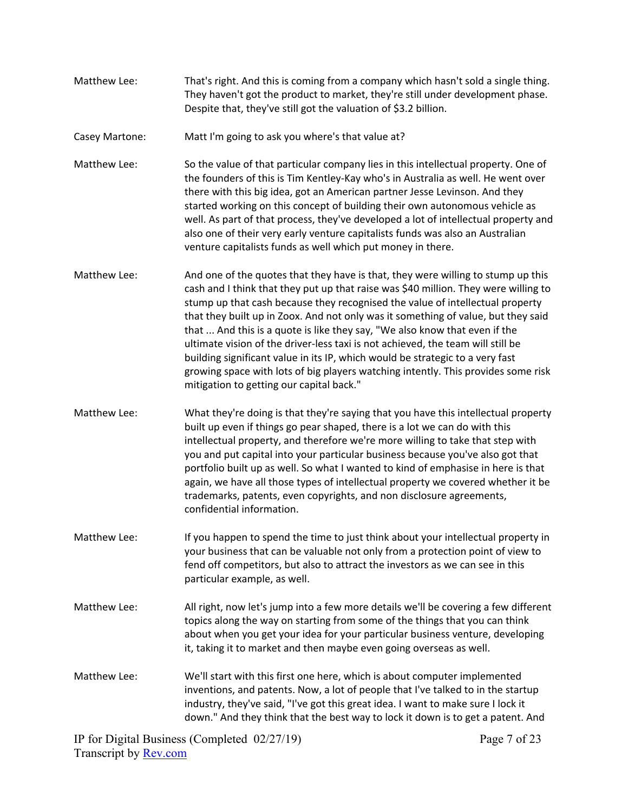- Matthew Lee: That's right. And this is coming from a company which hasn't sold a single thing. They haven't got the product to market, they're still under development phase. Despite that, they've still got the valuation of \$3.2 billion.
- Casey Martone: Matt I'm going to ask you where's that value at?
- Matthew Lee: So the value of that particular company lies in this intellectual property. One of the founders of this is Tim Kentley-Kay who's in Australia as well. He went over there with this big idea, got an American partner Jesse Levinson. And they started working on this concept of building their own autonomous vehicle as well. As part of that process, they've developed a lot of intellectual property and also one of their very early venture capitalists funds was also an Australian venture capitalists funds as well which put money in there.
- Matthew Lee: And one of the quotes that they have is that, they were willing to stump up this cash and I think that they put up that raise was \$40 million. They were willing to stump up that cash because they recognised the value of intellectual property that they built up in Zoox. And not only was it something of value, but they said that ... And this is a quote is like they say, "We also know that even if the ultimate vision of the driver-less taxi is not achieved, the team will still be building significant value in its IP, which would be strategic to a very fast growing space with lots of big players watching intently. This provides some risk mitigation to getting our capital back."
- Matthew Lee: What they're doing is that they're saying that you have this intellectual property built up even if things go pear shaped, there is a lot we can do with this intellectual property, and therefore we're more willing to take that step with you and put capital into your particular business because you've also got that portfolio built up as well. So what I wanted to kind of emphasise in here is that again, we have all those types of intellectual property we covered whether it be trademarks, patents, even copyrights, and non disclosure agreements, confidential information.
- Matthew Lee: If you happen to spend the time to just think about your intellectual property in your business that can be valuable not only from a protection point of view to fend off competitors, but also to attract the investors as we can see in this particular example, as well.
- Matthew Lee: All right, now let's jump into a few more details we'll be covering a few different topics along the way on starting from some of the things that you can think about when you get your idea for your particular business venture, developing it, taking it to market and then maybe even going overseas as well.
- Matthew Lee: We'll start with this first one here, which is about computer implemented inventions, and patents. Now, a lot of people that I've talked to in the startup industry, they've said, "I've got this great idea. I want to make sure I lock it down." And they think that the best way to lock it down is to get a patent. And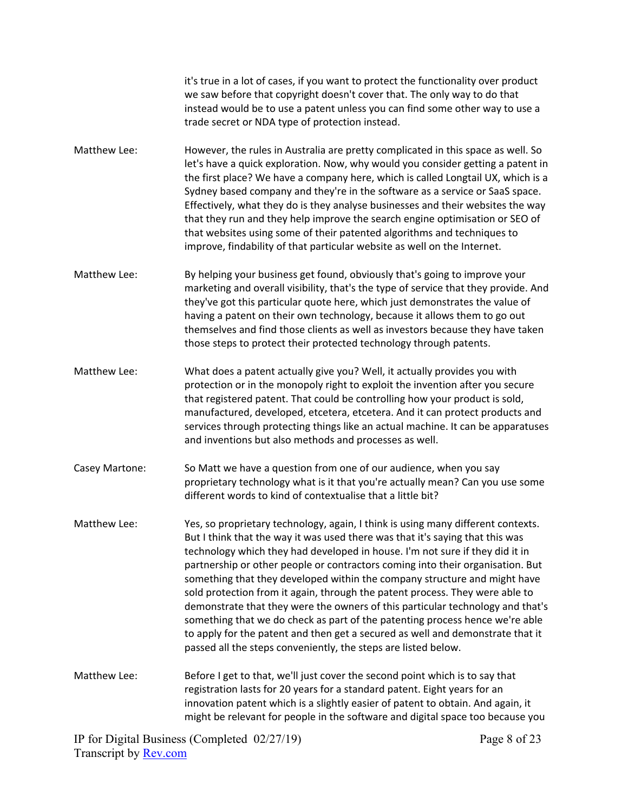it's true in a lot of cases, if you want to protect the functionality over product we saw before that copyright doesn't cover that. The only way to do that instead would be to use a patent unless you can find some other way to use a trade secret or NDA type of protection instead.

- Matthew Lee: However, the rules in Australia are pretty complicated in this space as well. So let's have a quick exploration. Now, why would you consider getting a patent in the first place? We have a company here, which is called Longtail UX, which is a Sydney based company and they're in the software as a service or SaaS space. Effectively, what they do is they analyse businesses and their websites the way that they run and they help improve the search engine optimisation or SEO of that websites using some of their patented algorithms and techniques to improve, findability of that particular website as well on the Internet.
- Matthew Lee: By helping your business get found, obviously that's going to improve your marketing and overall visibility, that's the type of service that they provide. And they've got this particular quote here, which just demonstrates the value of having a patent on their own technology, because it allows them to go out themselves and find those clients as well as investors because they have taken those steps to protect their protected technology through patents.
- Matthew Lee: What does a patent actually give you? Well, it actually provides you with protection or in the monopoly right to exploit the invention after you secure that registered patent. That could be controlling how your product is sold, manufactured, developed, etcetera, etcetera. And it can protect products and services through protecting things like an actual machine. It can be apparatuses and inventions but also methods and processes as well.
- Casey Martone: So Matt we have a question from one of our audience, when you say proprietary technology what is it that you're actually mean? Can you use some different words to kind of contextualise that a little bit?
- Matthew Lee: Yes, so proprietary technology, again, I think is using many different contexts. But I think that the way it was used there was that it's saying that this was technology which they had developed in house. I'm not sure if they did it in partnership or other people or contractors coming into their organisation. But something that they developed within the company structure and might have sold protection from it again, through the patent process. They were able to demonstrate that they were the owners of this particular technology and that's something that we do check as part of the patenting process hence we're able to apply for the patent and then get a secured as well and demonstrate that it passed all the steps conveniently, the steps are listed below.
- Matthew Lee: Before I get to that, we'll just cover the second point which is to say that registration lasts for 20 years for a standard patent. Eight years for an innovation patent which is a slightly easier of patent to obtain. And again, it might be relevant for people in the software and digital space too because you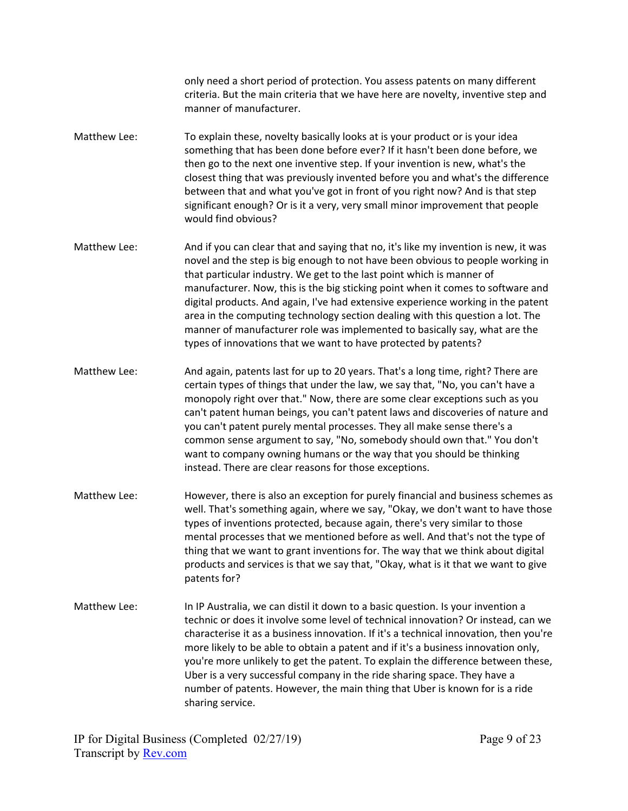only need a short period of protection. You assess patents on many different criteria. But the main criteria that we have here are novelty, inventive step and manner of manufacturer.

- Matthew Lee: To explain these, novelty basically looks at is your product or is your idea something that has been done before ever? If it hasn't been done before, we then go to the next one inventive step. If your invention is new, what's the closest thing that was previously invented before you and what's the difference between that and what you've got in front of you right now? And is that step significant enough? Or is it a very, very small minor improvement that people would find obvious?
- Matthew Lee: And if you can clear that and saying that no, it's like my invention is new, it was novel and the step is big enough to not have been obvious to people working in that particular industry. We get to the last point which is manner of manufacturer. Now, this is the big sticking point when it comes to software and digital products. And again, I've had extensive experience working in the patent area in the computing technology section dealing with this question a lot. The manner of manufacturer role was implemented to basically say, what are the types of innovations that we want to have protected by patents?
- Matthew Lee: And again, patents last for up to 20 years. That's a long time, right? There are certain types of things that under the law, we say that, "No, you can't have a monopoly right over that." Now, there are some clear exceptions such as you can't patent human beings, you can't patent laws and discoveries of nature and you can't patent purely mental processes. They all make sense there's a common sense argument to say, "No, somebody should own that." You don't want to company owning humans or the way that you should be thinking instead. There are clear reasons for those exceptions.
- Matthew Lee: However, there is also an exception for purely financial and business schemes as well. That's something again, where we say, "Okay, we don't want to have those types of inventions protected, because again, there's very similar to those mental processes that we mentioned before as well. And that's not the type of thing that we want to grant inventions for. The way that we think about digital products and services is that we say that, "Okay, what is it that we want to give patents for?
- Matthew Lee: In IP Australia, we can distil it down to a basic question. Is your invention a technic or does it involve some level of technical innovation? Or instead, can we characterise it as a business innovation. If it's a technical innovation, then you're more likely to be able to obtain a patent and if it's a business innovation only, you're more unlikely to get the patent. To explain the difference between these, Uber is a very successful company in the ride sharing space. They have a number of patents. However, the main thing that Uber is known for is a ride sharing service.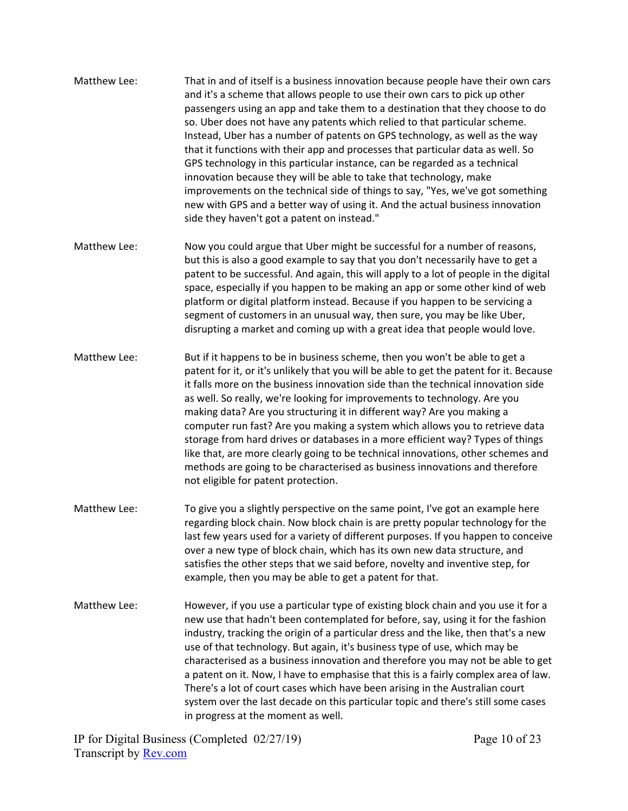- Matthew Lee: That in and of itself is a business innovation because people have their own cars and it's a scheme that allows people to use their own cars to pick up other passengers using an app and take them to a destination that they choose to do so. Uber does not have any patents which relied to that particular scheme. Instead, Uber has a number of patents on GPS technology, as well as the way that it functions with their app and processes that particular data as well. So GPS technology in this particular instance, can be regarded as a technical innovation because they will be able to take that technology, make improvements on the technical side of things to say, "Yes, we've got something new with GPS and a better way of using it. And the actual business innovation side they haven't got a patent on instead."
- Matthew Lee: Now you could argue that Uber might be successful for a number of reasons, but this is also a good example to say that you don't necessarily have to get a patent to be successful. And again, this will apply to a lot of people in the digital space, especially if you happen to be making an app or some other kind of web platform or digital platform instead. Because if you happen to be servicing a segment of customers in an unusual way, then sure, you may be like Uber, disrupting a market and coming up with a great idea that people would love.
- Matthew Lee: But if it happens to be in business scheme, then you won't be able to get a patent for it, or it's unlikely that you will be able to get the patent for it. Because it falls more on the business innovation side than the technical innovation side as well. So really, we're looking for improvements to technology. Are you making data? Are you structuring it in different way? Are you making a computer run fast? Are you making a system which allows you to retrieve data storage from hard drives or databases in a more efficient way? Types of things like that, are more clearly going to be technical innovations, other schemes and methods are going to be characterised as business innovations and therefore not eligible for patent protection.
- Matthew Lee: To give you a slightly perspective on the same point, I've got an example here regarding block chain. Now block chain is are pretty popular technology for the last few years used for a variety of different purposes. If you happen to conceive over a new type of block chain, which has its own new data structure, and satisfies the other steps that we said before, novelty and inventive step, for example, then you may be able to get a patent for that.
- Matthew Lee: However, if you use a particular type of existing block chain and you use it for a new use that hadn't been contemplated for before, say, using it for the fashion industry, tracking the origin of a particular dress and the like, then that's a new use of that technology. But again, it's business type of use, which may be characterised as a business innovation and therefore you may not be able to get a patent on it. Now, I have to emphasise that this is a fairly complex area of law. There's a lot of court cases which have been arising in the Australian court system over the last decade on this particular topic and there's still some cases in progress at the moment as well.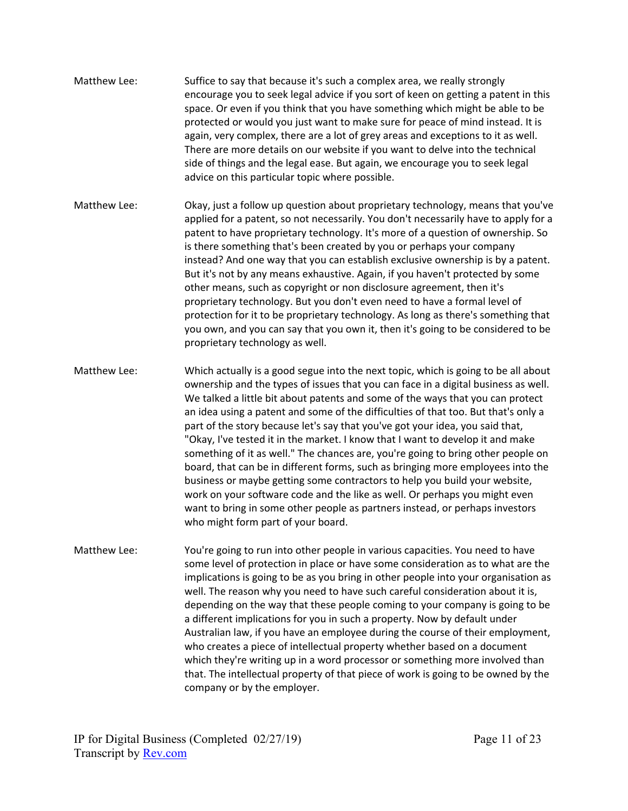- Matthew Lee: Suffice to say that because it's such a complex area, we really strongly encourage you to seek legal advice if you sort of keen on getting a patent in this space. Or even if you think that you have something which might be able to be protected or would you just want to make sure for peace of mind instead. It is again, very complex, there are a lot of grey areas and exceptions to it as well. There are more details on our website if you want to delve into the technical side of things and the legal ease. But again, we encourage you to seek legal advice on this particular topic where possible.
- Matthew Lee: Okay, just a follow up question about proprietary technology, means that you've applied for a patent, so not necessarily. You don't necessarily have to apply for a patent to have proprietary technology. It's more of a question of ownership. So is there something that's been created by you or perhaps your company instead? And one way that you can establish exclusive ownership is by a patent. But it's not by any means exhaustive. Again, if you haven't protected by some other means, such as copyright or non disclosure agreement, then it's proprietary technology. But you don't even need to have a formal level of protection for it to be proprietary technology. As long as there's something that you own, and you can say that you own it, then it's going to be considered to be proprietary technology as well.
- Matthew Lee: Which actually is a good segue into the next topic, which is going to be all about ownership and the types of issues that you can face in a digital business as well. We talked a little bit about patents and some of the ways that you can protect an idea using a patent and some of the difficulties of that too. But that's only a part of the story because let's say that you've got your idea, you said that, "Okay, I've tested it in the market. I know that I want to develop it and make something of it as well." The chances are, you're going to bring other people on board, that can be in different forms, such as bringing more employees into the business or maybe getting some contractors to help you build your website, work on your software code and the like as well. Or perhaps you might even want to bring in some other people as partners instead, or perhaps investors who might form part of your board.
- Matthew Lee: You're going to run into other people in various capacities. You need to have some level of protection in place or have some consideration as to what are the implications is going to be as you bring in other people into your organisation as well. The reason why you need to have such careful consideration about it is, depending on the way that these people coming to your company is going to be a different implications for you in such a property. Now by default under Australian law, if you have an employee during the course of their employment, who creates a piece of intellectual property whether based on a document which they're writing up in a word processor or something more involved than that. The intellectual property of that piece of work is going to be owned by the company or by the employer.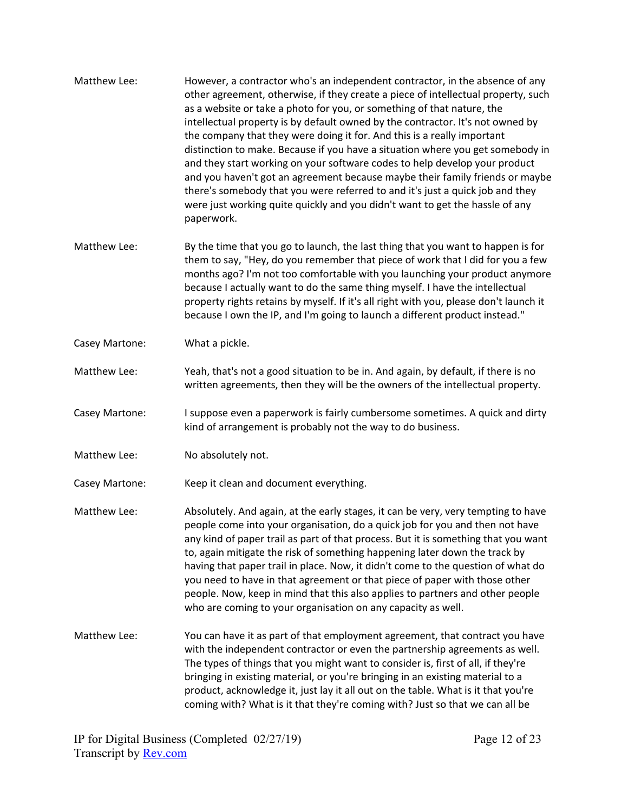- Matthew Lee: However, a contractor who's an independent contractor, in the absence of any other agreement, otherwise, if they create a piece of intellectual property, such as a website or take a photo for you, or something of that nature, the intellectual property is by default owned by the contractor. It's not owned by the company that they were doing it for. And this is a really important distinction to make. Because if you have a situation where you get somebody in and they start working on your software codes to help develop your product and you haven't got an agreement because maybe their family friends or maybe there's somebody that you were referred to and it's just a quick job and they were just working quite quickly and you didn't want to get the hassle of any paperwork.
- Matthew Lee: By the time that you go to launch, the last thing that you want to happen is for them to say, "Hey, do you remember that piece of work that I did for you a few months ago? I'm not too comfortable with you launching your product anymore because I actually want to do the same thing myself. I have the intellectual property rights retains by myself. If it's all right with you, please don't launch it because I own the IP, and I'm going to launch a different product instead."
- Casey Martone: What a pickle.
- Matthew Lee: Yeah, that's not a good situation to be in. And again, by default, if there is no written agreements, then they will be the owners of the intellectual property.
- Casey Martone: I suppose even a paperwork is fairly cumbersome sometimes. A quick and dirty kind of arrangement is probably not the way to do business.
- Matthew Lee: No absolutely not.
- Casey Martone: Keep it clean and document everything.
- Matthew Lee: Absolutely. And again, at the early stages, it can be very, very tempting to have people come into your organisation, do a quick job for you and then not have any kind of paper trail as part of that process. But it is something that you want to, again mitigate the risk of something happening later down the track by having that paper trail in place. Now, it didn't come to the question of what do you need to have in that agreement or that piece of paper with those other people. Now, keep in mind that this also applies to partners and other people who are coming to your organisation on any capacity as well.
- Matthew Lee: You can have it as part of that employment agreement, that contract you have with the independent contractor or even the partnership agreements as well. The types of things that you might want to consider is, first of all, if they're bringing in existing material, or you're bringing in an existing material to a product, acknowledge it, just lay it all out on the table. What is it that you're coming with? What is it that they're coming with? Just so that we can all be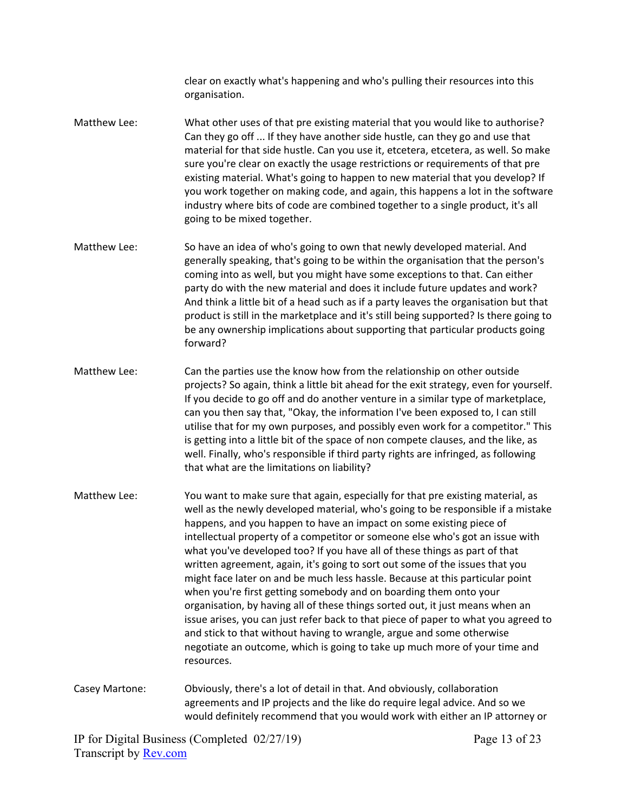clear on exactly what's happening and who's pulling their resources into this organisation.

- Matthew Lee: What other uses of that pre existing material that you would like to authorise? Can they go off ... If they have another side hustle, can they go and use that material for that side hustle. Can you use it, etcetera, etcetera, as well. So make sure you're clear on exactly the usage restrictions or requirements of that pre existing material. What's going to happen to new material that you develop? If you work together on making code, and again, this happens a lot in the software industry where bits of code are combined together to a single product, it's all going to be mixed together.
- Matthew Lee: So have an idea of who's going to own that newly developed material. And generally speaking, that's going to be within the organisation that the person's coming into as well, but you might have some exceptions to that. Can either party do with the new material and does it include future updates and work? And think a little bit of a head such as if a party leaves the organisation but that product is still in the marketplace and it's still being supported? Is there going to be any ownership implications about supporting that particular products going forward?
- Matthew Lee: Can the parties use the know how from the relationship on other outside projects? So again, think a little bit ahead for the exit strategy, even for yourself. If you decide to go off and do another venture in a similar type of marketplace, can you then say that, "Okay, the information I've been exposed to, I can still utilise that for my own purposes, and possibly even work for a competitor." This is getting into a little bit of the space of non compete clauses, and the like, as well. Finally, who's responsible if third party rights are infringed, as following that what are the limitations on liability?
- Matthew Lee: You want to make sure that again, especially for that pre existing material, as well as the newly developed material, who's going to be responsible if a mistake happens, and you happen to have an impact on some existing piece of intellectual property of a competitor or someone else who's got an issue with what you've developed too? If you have all of these things as part of that written agreement, again, it's going to sort out some of the issues that you might face later on and be much less hassle. Because at this particular point when you're first getting somebody and on boarding them onto your organisation, by having all of these things sorted out, it just means when an issue arises, you can just refer back to that piece of paper to what you agreed to and stick to that without having to wrangle, argue and some otherwise negotiate an outcome, which is going to take up much more of your time and resources.
- Casey Martone: Obviously, there's a lot of detail in that. And obviously, collaboration agreements and IP projects and the like do require legal advice. And so we would definitely recommend that you would work with either an IP attorney or

IP for Digital Business (Completed 02/27/19) Transcript by [Rev.com](https://www.rev.com/)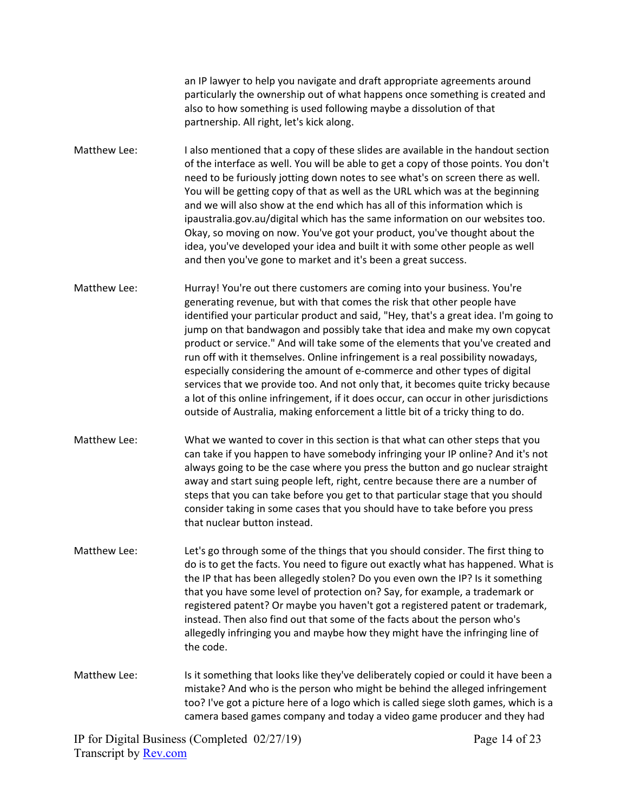an IP lawyer to help you navigate and draft appropriate agreements around particularly the ownership out of what happens once something is created and also to how something is used following maybe a dissolution of that partnership. All right, let's kick along.

Matthew Lee: I also mentioned that a copy of these slides are available in the handout section of the interface as well. You will be able to get a copy of those points. You don't need to be furiously jotting down notes to see what's on screen there as well. You will be getting copy of that as well as the URL which was at the beginning and we will also show at the end which has all of this information which is ipaustralia.gov.au/digital which has the same information on our websites too. Okay, so moving on now. You've got your product, you've thought about the idea, you've developed your idea and built it with some other people as well and then you've gone to market and it's been a great success.

Matthew Lee: Hurray! You're out there customers are coming into your business. You're generating revenue, but with that comes the risk that other people have identified your particular product and said, "Hey, that's a great idea. I'm going to jump on that bandwagon and possibly take that idea and make my own copycat product or service." And will take some of the elements that you've created and run off with it themselves. Online infringement is a real possibility nowadays, especially considering the amount of e-commerce and other types of digital services that we provide too. And not only that, it becomes quite tricky because a lot of this online infringement, if it does occur, can occur in other jurisdictions outside of Australia, making enforcement a little bit of a tricky thing to do.

- Matthew Lee: What we wanted to cover in this section is that what can other steps that you can take if you happen to have somebody infringing your IP online? And it's not always going to be the case where you press the button and go nuclear straight away and start suing people left, right, centre because there are a number of steps that you can take before you get to that particular stage that you should consider taking in some cases that you should have to take before you press that nuclear button instead.
- Matthew Lee: Let's go through some of the things that you should consider. The first thing to do is to get the facts. You need to figure out exactly what has happened. What is the IP that has been allegedly stolen? Do you even own the IP? Is it something that you have some level of protection on? Say, for example, a trademark or registered patent? Or maybe you haven't got a registered patent or trademark, instead. Then also find out that some of the facts about the person who's allegedly infringing you and maybe how they might have the infringing line of the code.

Matthew Lee: Is it something that looks like they've deliberately copied or could it have been a mistake? And who is the person who might be behind the alleged infringement too? I've got a picture here of a logo which is called siege sloth games, which is a camera based games company and today a video game producer and they had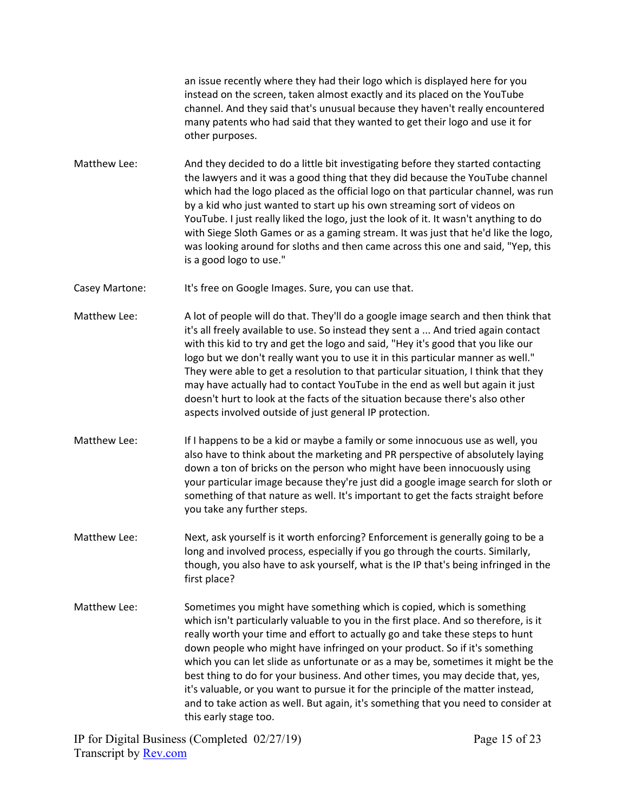an issue recently where they had their logo which is displayed here for you instead on the screen, taken almost exactly and its placed on the YouTube channel. And they said that's unusual because they haven't really encountered many patents who had said that they wanted to get their logo and use it for other purposes.

- Matthew Lee: And they decided to do a little bit investigating before they started contacting the lawyers and it was a good thing that they did because the YouTube channel which had the logo placed as the official logo on that particular channel, was run by a kid who just wanted to start up his own streaming sort of videos on YouTube. I just really liked the logo, just the look of it. It wasn't anything to do with Siege Sloth Games or as a gaming stream. It was just that he'd like the logo, was looking around for sloths and then came across this one and said, "Yep, this is a good logo to use."
- Casey Martone: It's free on Google Images. Sure, you can use that.
- Matthew Lee: A lot of people will do that. They'll do a google image search and then think that it's all freely available to use. So instead they sent a ... And tried again contact with this kid to try and get the logo and said, "Hey it's good that you like our logo but we don't really want you to use it in this particular manner as well." They were able to get a resolution to that particular situation, I think that they may have actually had to contact YouTube in the end as well but again it just doesn't hurt to look at the facts of the situation because there's also other aspects involved outside of just general IP protection.
- Matthew Lee: If I happens to be a kid or maybe a family or some innocuous use as well, you also have to think about the marketing and PR perspective of absolutely laying down a ton of bricks on the person who might have been innocuously using your particular image because they're just did a google image search for sloth or something of that nature as well. It's important to get the facts straight before you take any further steps.
- Matthew Lee: Next, ask yourself is it worth enforcing? Enforcement is generally going to be a long and involved process, especially if you go through the courts. Similarly, though, you also have to ask yourself, what is the IP that's being infringed in the first place?
- Matthew Lee: Sometimes you might have something which is copied, which is something which isn't particularly valuable to you in the first place. And so therefore, is it really worth your time and effort to actually go and take these steps to hunt down people who might have infringed on your product. So if it's something which you can let slide as unfortunate or as a may be, sometimes it might be the best thing to do for your business. And other times, you may decide that, yes, it's valuable, or you want to pursue it for the principle of the matter instead, and to take action as well. But again, it's something that you need to consider at this early stage too.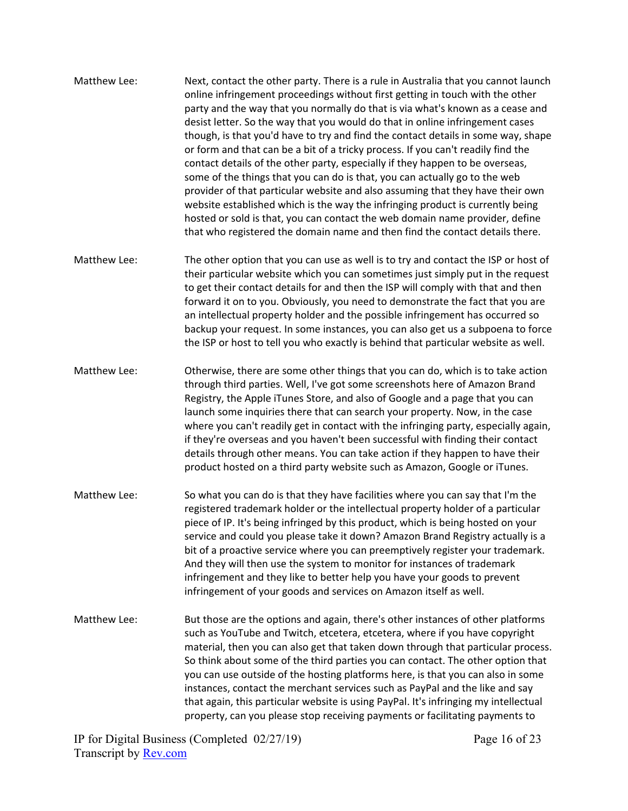- Matthew Lee: Next, contact the other party. There is a rule in Australia that you cannot launch online infringement proceedings without first getting in touch with the other party and the way that you normally do that is via what's known as a cease and desist letter. So the way that you would do that in online infringement cases though, is that you'd have to try and find the contact details in some way, shape or form and that can be a bit of a tricky process. If you can't readily find the contact details of the other party, especially if they happen to be overseas, some of the things that you can do is that, you can actually go to the web provider of that particular website and also assuming that they have their own website established which is the way the infringing product is currently being hosted or sold is that, you can contact the web domain name provider, define that who registered the domain name and then find the contact details there.
- Matthew Lee: The other option that you can use as well is to try and contact the ISP or host of their particular website which you can sometimes just simply put in the request to get their contact details for and then the ISP will comply with that and then forward it on to you. Obviously, you need to demonstrate the fact that you are an intellectual property holder and the possible infringement has occurred so backup your request. In some instances, you can also get us a subpoena to force the ISP or host to tell you who exactly is behind that particular website as well.
- Matthew Lee: Otherwise, there are some other things that you can do, which is to take action through third parties. Well, I've got some screenshots here of Amazon Brand Registry, the Apple iTunes Store, and also of Google and a page that you can launch some inquiries there that can search your property. Now, in the case where you can't readily get in contact with the infringing party, especially again, if they're overseas and you haven't been successful with finding their contact details through other means. You can take action if they happen to have their product hosted on a third party website such as Amazon, Google or iTunes.
- Matthew Lee: So what you can do is that they have facilities where you can say that I'm the registered trademark holder or the intellectual property holder of a particular piece of IP. It's being infringed by this product, which is being hosted on your service and could you please take it down? Amazon Brand Registry actually is a bit of a proactive service where you can preemptively register your trademark. And they will then use the system to monitor for instances of trademark infringement and they like to better help you have your goods to prevent infringement of your goods and services on Amazon itself as well.
- Matthew Lee: But those are the options and again, there's other instances of other platforms such as YouTube and Twitch, etcetera, etcetera, where if you have copyright material, then you can also get that taken down through that particular process. So think about some of the third parties you can contact. The other option that you can use outside of the hosting platforms here, is that you can also in some instances, contact the merchant services such as PayPal and the like and say that again, this particular website is using PayPal. It's infringing my intellectual property, can you please stop receiving payments or facilitating payments to

IP for Digital Business (Completed 02/27/19) Transcript by [Rev.com](https://www.rev.com/)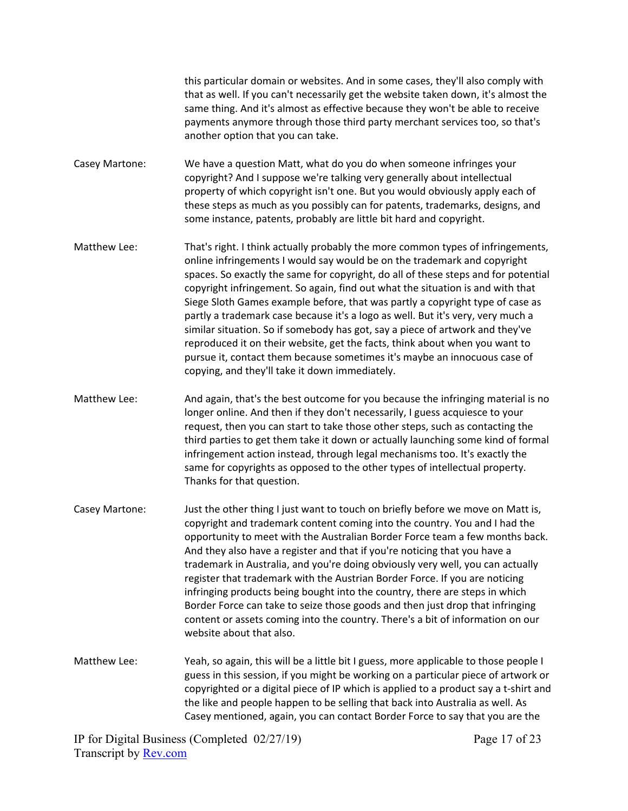this particular domain or websites. And in some cases, they'll also comply with that as well. If you can't necessarily get the website taken down, it's almost the same thing. And it's almost as effective because they won't be able to receive payments anymore through those third party merchant services too, so that's another option that you can take.

Casey Martone: We have a question Matt, what do you do when someone infringes your copyright? And I suppose we're talking very generally about intellectual property of which copyright isn't one. But you would obviously apply each of these steps as much as you possibly can for patents, trademarks, designs, and some instance, patents, probably are little bit hard and copyright.

- Matthew Lee: That's right. I think actually probably the more common types of infringements, online infringements I would say would be on the trademark and copyright spaces. So exactly the same for copyright, do all of these steps and for potential copyright infringement. So again, find out what the situation is and with that Siege Sloth Games example before, that was partly a copyright type of case as partly a trademark case because it's a logo as well. But it's very, very much a similar situation. So if somebody has got, say a piece of artwork and they've reproduced it on their website, get the facts, think about when you want to pursue it, contact them because sometimes it's maybe an innocuous case of copying, and they'll take it down immediately.
- Matthew Lee: And again, that's the best outcome for you because the infringing material is no longer online. And then if they don't necessarily, I guess acquiesce to your request, then you can start to take those other steps, such as contacting the third parties to get them take it down or actually launching some kind of formal infringement action instead, through legal mechanisms too. It's exactly the same for copyrights as opposed to the other types of intellectual property. Thanks for that question.
- Casey Martone: Just the other thing I just want to touch on briefly before we move on Matt is, copyright and trademark content coming into the country. You and I had the opportunity to meet with the Australian Border Force team a few months back. And they also have a register and that if you're noticing that you have a trademark in Australia, and you're doing obviously very well, you can actually register that trademark with the Austrian Border Force. If you are noticing infringing products being bought into the country, there are steps in which Border Force can take to seize those goods and then just drop that infringing content or assets coming into the country. There's a bit of information on our website about that also.
- Matthew Lee: Yeah, so again, this will be a little bit I guess, more applicable to those people I guess in this session, if you might be working on a particular piece of artwork or copyrighted or a digital piece of IP which is applied to a product say a t-shirt and the like and people happen to be selling that back into Australia as well. As Casey mentioned, again, you can contact Border Force to say that you are the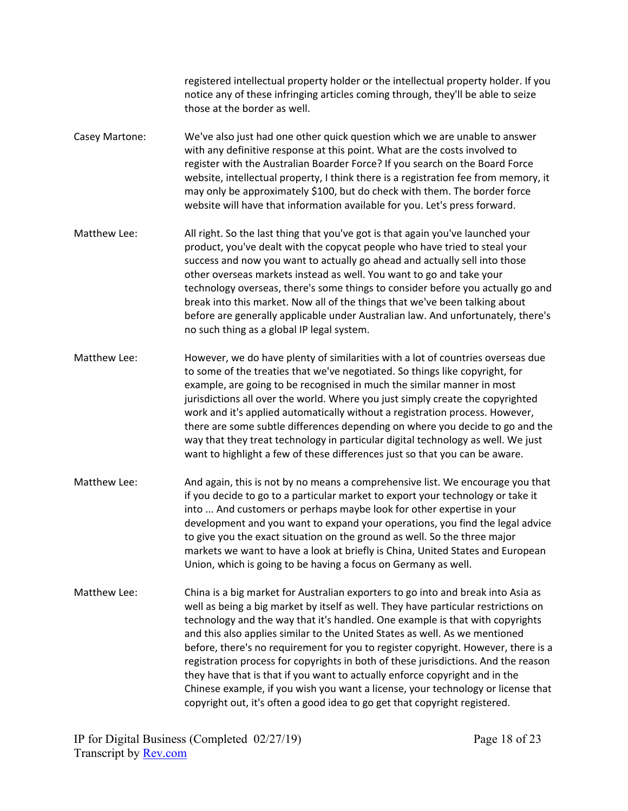registered intellectual property holder or the intellectual property holder. If you notice any of these infringing articles coming through, they'll be able to seize those at the border as well.

- Casey Martone: We've also just had one other quick question which we are unable to answer with any definitive response at this point. What are the costs involved to register with the Australian Boarder Force? If you search on the Board Force website, intellectual property, I think there is a registration fee from memory, it may only be approximately \$100, but do check with them. The border force website will have that information available for you. Let's press forward.
- Matthew Lee: All right. So the last thing that you've got is that again you've launched your product, you've dealt with the copycat people who have tried to steal your success and now you want to actually go ahead and actually sell into those other overseas markets instead as well. You want to go and take your technology overseas, there's some things to consider before you actually go and break into this market. Now all of the things that we've been talking about before are generally applicable under Australian law. And unfortunately, there's no such thing as a global IP legal system.
- Matthew Lee: However, we do have plenty of similarities with a lot of countries overseas due to some of the treaties that we've negotiated. So things like copyright, for example, are going to be recognised in much the similar manner in most jurisdictions all over the world. Where you just simply create the copyrighted work and it's applied automatically without a registration process. However, there are some subtle differences depending on where you decide to go and the way that they treat technology in particular digital technology as well. We just want to highlight a few of these differences just so that you can be aware.
- Matthew Lee: And again, this is not by no means a comprehensive list. We encourage you that if you decide to go to a particular market to export your technology or take it into ... And customers or perhaps maybe look for other expertise in your development and you want to expand your operations, you find the legal advice to give you the exact situation on the ground as well. So the three major markets we want to have a look at briefly is China, United States and European Union, which is going to be having a focus on Germany as well.
- Matthew Lee: China is a big market for Australian exporters to go into and break into Asia as well as being a big market by itself as well. They have particular restrictions on technology and the way that it's handled. One example is that with copyrights and this also applies similar to the United States as well. As we mentioned before, there's no requirement for you to register copyright. However, there is a registration process for copyrights in both of these jurisdictions. And the reason they have that is that if you want to actually enforce copyright and in the Chinese example, if you wish you want a license, your technology or license that copyright out, it's often a good idea to go get that copyright registered.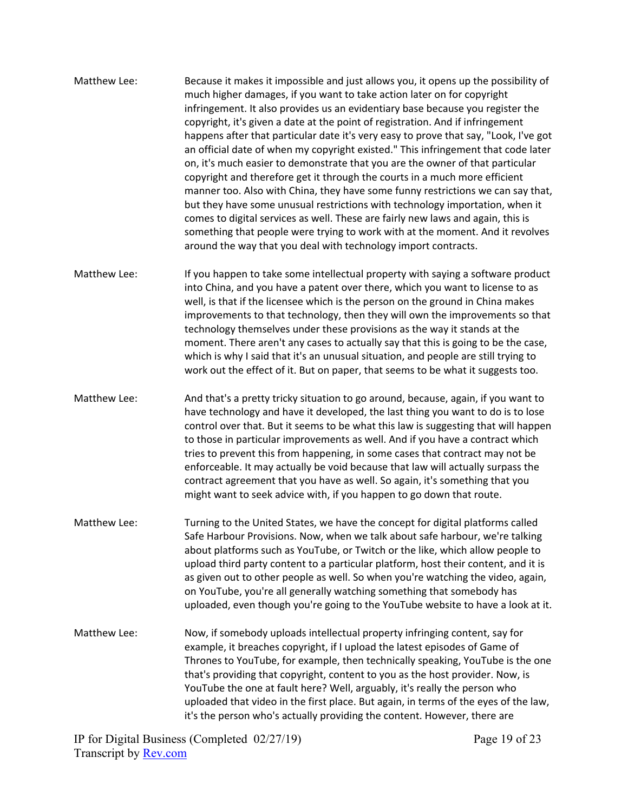- Matthew Lee: Because it makes it impossible and just allows you, it opens up the possibility of much higher damages, if you want to take action later on for copyright infringement. It also provides us an evidentiary base because you register the copyright, it's given a date at the point of registration. And if infringement happens after that particular date it's very easy to prove that say, "Look, I've got an official date of when my copyright existed." This infringement that code later on, it's much easier to demonstrate that you are the owner of that particular copyright and therefore get it through the courts in a much more efficient manner too. Also with China, they have some funny restrictions we can say that, but they have some unusual restrictions with technology importation, when it comes to digital services as well. These are fairly new laws and again, this is something that people were trying to work with at the moment. And it revolves around the way that you deal with technology import contracts.
- Matthew Lee: If you happen to take some intellectual property with saying a software product into China, and you have a patent over there, which you want to license to as well, is that if the licensee which is the person on the ground in China makes improvements to that technology, then they will own the improvements so that technology themselves under these provisions as the way it stands at the moment. There aren't any cases to actually say that this is going to be the case, which is why I said that it's an unusual situation, and people are still trying to work out the effect of it. But on paper, that seems to be what it suggests too.
- Matthew Lee: And that's a pretty tricky situation to go around, because, again, if you want to have technology and have it developed, the last thing you want to do is to lose control over that. But it seems to be what this law is suggesting that will happen to those in particular improvements as well. And if you have a contract which tries to prevent this from happening, in some cases that contract may not be enforceable. It may actually be void because that law will actually surpass the contract agreement that you have as well. So again, it's something that you might want to seek advice with, if you happen to go down that route.
- Matthew Lee: Turning to the United States, we have the concept for digital platforms called Safe Harbour Provisions. Now, when we talk about safe harbour, we're talking about platforms such as YouTube, or Twitch or the like, which allow people to upload third party content to a particular platform, host their content, and it is as given out to other people as well. So when you're watching the video, again, on YouTube, you're all generally watching something that somebody has uploaded, even though you're going to the YouTube website to have a look at it.
- Matthew Lee: Now, if somebody uploads intellectual property infringing content, say for example, it breaches copyright, if I upload the latest episodes of Game of Thrones to YouTube, for example, then technically speaking, YouTube is the one that's providing that copyright, content to you as the host provider. Now, is YouTube the one at fault here? Well, arguably, it's really the person who uploaded that video in the first place. But again, in terms of the eyes of the law, it's the person who's actually providing the content. However, there are

IP for Digital Business (Completed 02/27/19) Transcript by [Rev.com](https://www.rev.com/)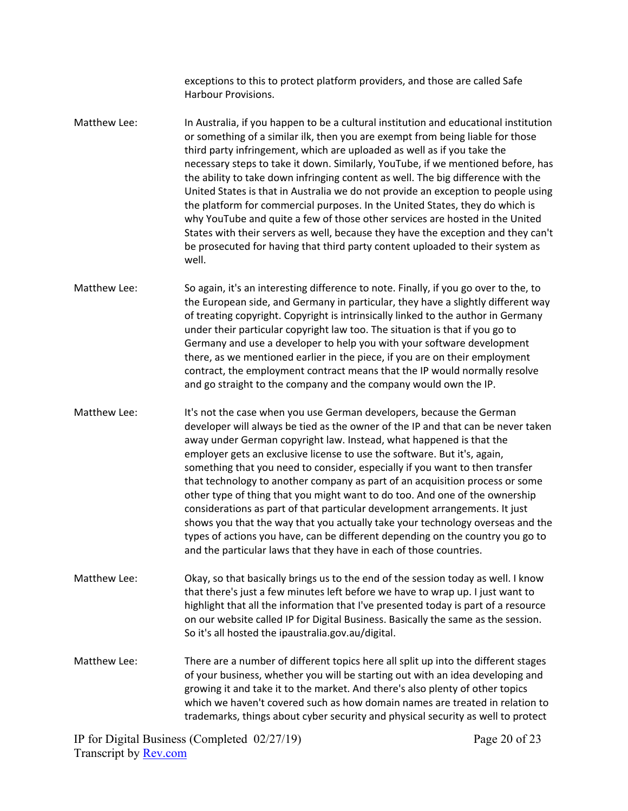exceptions to this to protect platform providers, and those are called Safe Harbour Provisions.

Matthew Lee: In Australia, if you happen to be a cultural institution and educational institution or something of a similar ilk, then you are exempt from being liable for those third party infringement, which are uploaded as well as if you take the necessary steps to take it down. Similarly, YouTube, if we mentioned before, has the ability to take down infringing content as well. The big difference with the United States is that in Australia we do not provide an exception to people using the platform for commercial purposes. In the United States, they do which is why YouTube and quite a few of those other services are hosted in the United States with their servers as well, because they have the exception and they can't be prosecuted for having that third party content uploaded to their system as well.

Matthew Lee: So again, it's an interesting difference to note. Finally, if you go over to the, to the European side, and Germany in particular, they have a slightly different way of treating copyright. Copyright is intrinsically linked to the author in Germany under their particular copyright law too. The situation is that if you go to Germany and use a developer to help you with your software development there, as we mentioned earlier in the piece, if you are on their employment contract, the employment contract means that the IP would normally resolve and go straight to the company and the company would own the IP.

- Matthew Lee: It's not the case when you use German developers, because the German developer will always be tied as the owner of the IP and that can be never taken away under German copyright law. Instead, what happened is that the employer gets an exclusive license to use the software. But it's, again, something that you need to consider, especially if you want to then transfer that technology to another company as part of an acquisition process or some other type of thing that you might want to do too. And one of the ownership considerations as part of that particular development arrangements. It just shows you that the way that you actually take your technology overseas and the types of actions you have, can be different depending on the country you go to and the particular laws that they have in each of those countries.
- Matthew Lee: Okay, so that basically brings us to the end of the session today as well. I know that there's just a few minutes left before we have to wrap up. I just want to highlight that all the information that I've presented today is part of a resource on our website called IP for Digital Business. Basically the same as the session. So it's all hosted the ipaustralia.gov.au/digital.
- Matthew Lee: There are a number of different topics here all split up into the different stages of your business, whether you will be starting out with an idea developing and growing it and take it to the market. And there's also plenty of other topics which we haven't covered such as how domain names are treated in relation to trademarks, things about cyber security and physical security as well to protect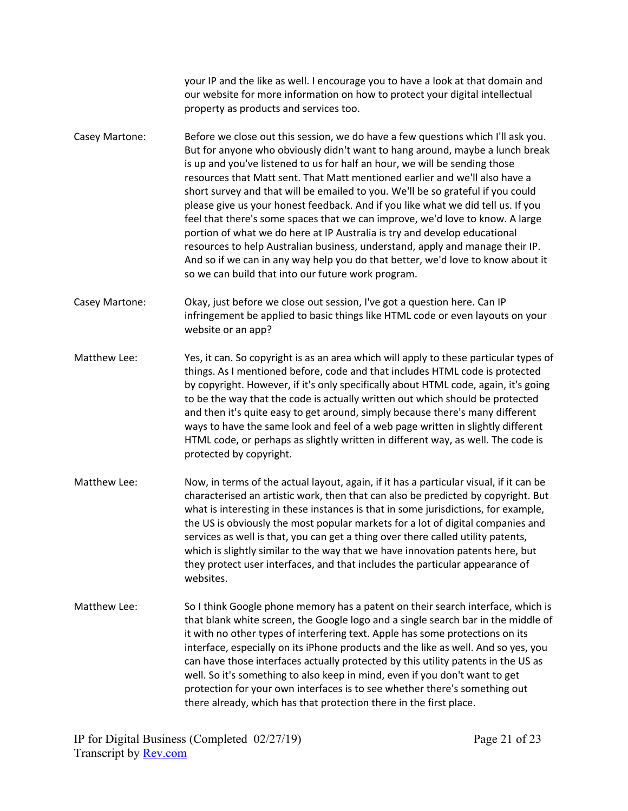your IP and the like as well. I encourage you to have a look at that domain and our website for more information on how to protect your digital intellectual property as products and services too.

- Casey Martone: Before we close out this session, we do have a few questions which I'll ask you. But for anyone who obviously didn't want to hang around, maybe a lunch break is up and you've listened to us for half an hour, we will be sending those resources that Matt sent. That Matt mentioned earlier and we'll also have a short survey and that will be emailed to you. We'll be so grateful if you could please give us your honest feedback. And if you like what we did tell us. If you feel that there's some spaces that we can improve, we'd love to know. A large portion of what we do here at IP Australia is try and develop educational resources to help Australian business, understand, apply and manage their IP. And so if we can in any way help you do that better, we'd love to know about it so we can build that into our future work program.
- Casey Martone: Okay, just before we close out session, I've got a question here. Can IP infringement be applied to basic things like HTML code or even layouts on your website or an app?
- Matthew Lee: Yes, it can. So copyright is as an area which will apply to these particular types of things. As I mentioned before, code and that includes HTML code is protected by copyright. However, if it's only specifically about HTML code, again, it's going to be the way that the code is actually written out which should be protected and then it's quite easy to get around, simply because there's many different ways to have the same look and feel of a web page written in slightly different HTML code, or perhaps as slightly written in different way, as well. The code is protected by copyright.
- Matthew Lee: Now, in terms of the actual layout, again, if it has a particular visual, if it can be characterised an artistic work, then that can also be predicted by copyright. But what is interesting in these instances is that in some jurisdictions, for example, the US is obviously the most popular markets for a lot of digital companies and services as well is that, you can get a thing over there called utility patents, which is slightly similar to the way that we have innovation patents here, but they protect user interfaces, and that includes the particular appearance of websites.
- Matthew Lee: So I think Google phone memory has a patent on their search interface, which is that blank white screen, the Google logo and a single search bar in the middle of it with no other types of interfering text. Apple has some protections on its interface, especially on its iPhone products and the like as well. And so yes, you can have those interfaces actually protected by this utility patents in the US as well. So it's something to also keep in mind, even if you don't want to get protection for your own interfaces is to see whether there's something out there already, which has that protection there in the first place.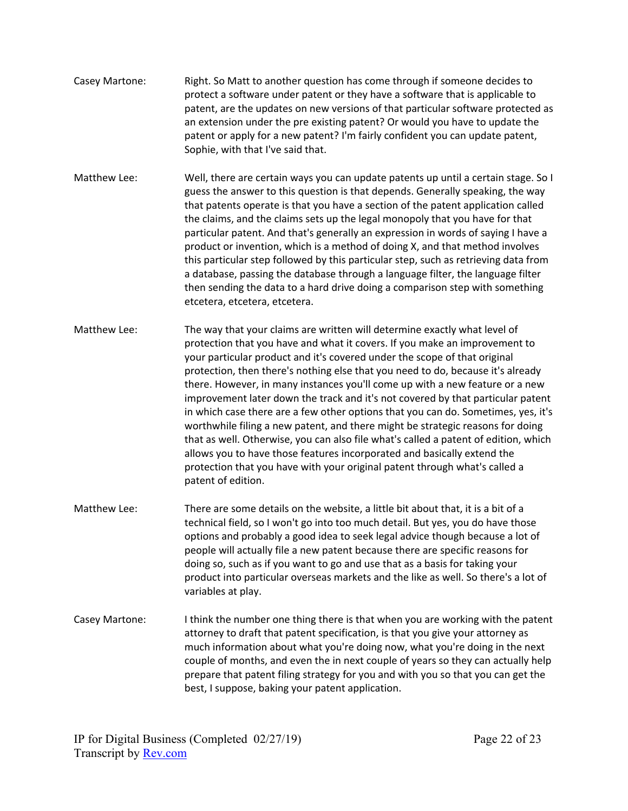- Casey Martone: Right. So Matt to another question has come through if someone decides to protect a software under patent or they have a software that is applicable to patent, are the updates on new versions of that particular software protected as an extension under the pre existing patent? Or would you have to update the patent or apply for a new patent? I'm fairly confident you can update patent, Sophie, with that I've said that.
- Matthew Lee: Well, there are certain ways you can update patents up until a certain stage. So I guess the answer to this question is that depends. Generally speaking, the way that patents operate is that you have a section of the patent application called the claims, and the claims sets up the legal monopoly that you have for that particular patent. And that's generally an expression in words of saying I have a product or invention, which is a method of doing X, and that method involves this particular step followed by this particular step, such as retrieving data from a database, passing the database through a language filter, the language filter then sending the data to a hard drive doing a comparison step with something etcetera, etcetera, etcetera.
- Matthew Lee: The way that your claims are written will determine exactly what level of protection that you have and what it covers. If you make an improvement to your particular product and it's covered under the scope of that original protection, then there's nothing else that you need to do, because it's already there. However, in many instances you'll come up with a new feature or a new improvement later down the track and it's not covered by that particular patent in which case there are a few other options that you can do. Sometimes, yes, it's worthwhile filing a new patent, and there might be strategic reasons for doing that as well. Otherwise, you can also file what's called a patent of edition, which allows you to have those features incorporated and basically extend the protection that you have with your original patent through what's called a patent of edition.
- Matthew Lee: There are some details on the website, a little bit about that, it is a bit of a technical field, so I won't go into too much detail. But yes, you do have those options and probably a good idea to seek legal advice though because a lot of people will actually file a new patent because there are specific reasons for doing so, such as if you want to go and use that as a basis for taking your product into particular overseas markets and the like as well. So there's a lot of variables at play.
- Casey Martone: I think the number one thing there is that when you are working with the patent attorney to draft that patent specification, is that you give your attorney as much information about what you're doing now, what you're doing in the next couple of months, and even the in next couple of years so they can actually help prepare that patent filing strategy for you and with you so that you can get the best, I suppose, baking your patent application.